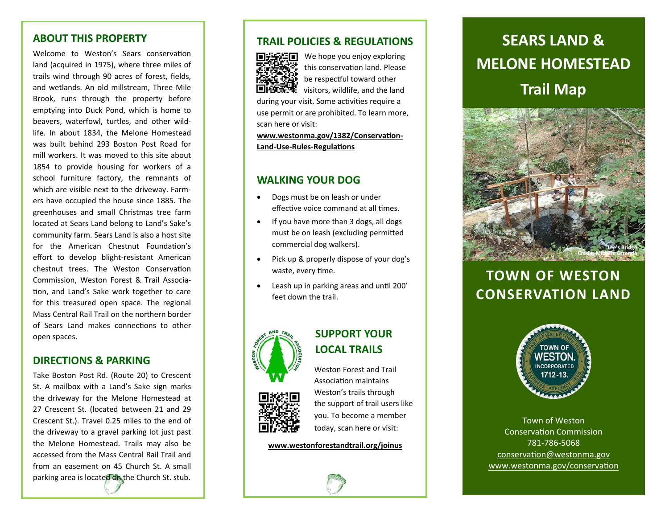#### **ABOUT THIS PROPERTY**

Welcome to Weston's Sears conservation land (acquired in 1975), where three miles of trails wind through 90 acres of forest, fields, and wetlands. An old millstream, Three Mile Brook, runs through the property before emptying into Duck Pond, which is home to beavers, waterfowl, turtles, and other wild‐ life. In about 1834, the Melone Homestead was built behind 293 Boston Post Road for mill workers. It was moved to this site about 1854 to provide housing for workers of a school furniture factory, the remnants of which are visible next to the driveway. Farm‐ ers have occupied the house since 1885. The greenhouses and small Christmas tree farm located at Sears Land belong to Land's Sake's community farm. Sears Land is also a host site for the American Chestnut Foundation's effort to develop blight‐resistant American chestnut trees. The Weston Conservation Commission, Weston Forest & Trail Associa‐ tion, and Land's Sake work together to care for this treasured open space. The regional Mass Central Rail Trail on the northern border of Sears Land makes connections to other open spaces.

### **DIRECTIONS & PARKING**

Take Boston Post Rd. (Route 20) to Crescent St. A mailbox with a Land's Sake sign marks the driveway for the Melone Homestead at 27 Crescent St. (located between 21 and 29 Crescent St.). Travel 0.25 miles to the end of the driveway to a gravel parking lot just past the Melone Homestead. Trails may also be accessed from the Mass Central Rail Trail and from an easement on 45 Church St. A small parking area is located on the Church St. stub.

### **TRAIL POLICIES & REGULATIONS**



We hope you enjoy exploring this conservation land. Please be respectful toward other visitors, wildlife, and the land

during your visit. Some activities require a use permit or are prohibited. To learn more, scan here or visit:

www.westonma.gov/1382/Conservation-**Land‐Use‐Rules‐RegulaƟons**

### **WALKING YOUR DOG**

- $\bullet$  Dogs must be on leash or under effective voice command at all times.
- If you have more than 3 dogs, all dogs must be on leash (excluding permitted commercial dog walkers).
- $\bullet$  Pick up & properly dispose of your dog's waste, every time.
- $\bullet$ Leash up in parking areas and until 200' feet down the trail.



# **LOCAL TRAILS**Weston Forest and Trail



AssociaƟon maintains Weston's trails through the support of trail users like you. To become a member today, scan here or visit:

**SUPPORT YOUR** 

**www.westonforestandtrail.org/joinus**

# **Trail Map SEARS LAND & MELONE HOMESTEAD**



# **TOWN OF WESTON CONSERVATION LAND**



Town of Weston ConservaƟon Commission 781‐786‐5068 conservation@westonma.gov www.westonma.gov/conservation